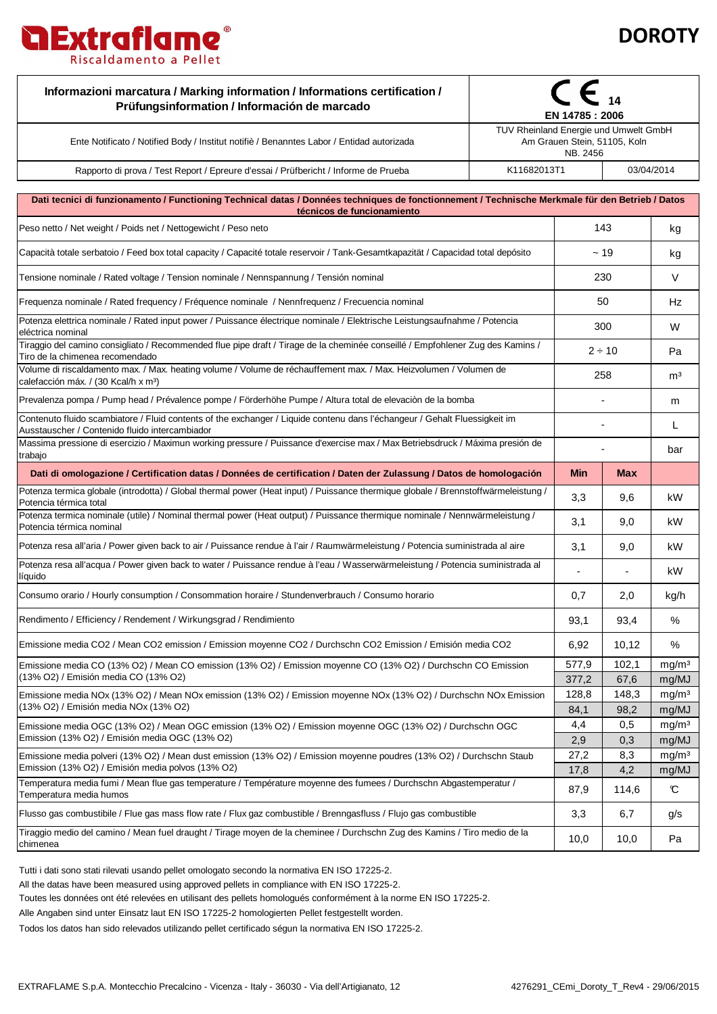



| Informazioni marcatura / Marking information / Informations certification /<br>Prüfungsinformation / Información de marcado                                                                                                                                                                                           | ∈<br>EN 14785 : 2006                                                              |             |                            |  |
|-----------------------------------------------------------------------------------------------------------------------------------------------------------------------------------------------------------------------------------------------------------------------------------------------------------------------|-----------------------------------------------------------------------------------|-------------|----------------------------|--|
| Ente Notificato / Notified Body / Institut notifiè / Benanntes Labor / Entidad autorizada                                                                                                                                                                                                                             | TUV Rheinland Energie und Umwelt GmbH<br>Am Grauen Stein, 51105, Koln<br>NB. 2456 |             |                            |  |
| Rapporto di prova / Test Report / Epreure d'essai / Prüfbericht / Informe de Prueba                                                                                                                                                                                                                                   | K11682013T1<br>03/04/2014                                                         |             |                            |  |
| Dati tecnici di funzionamento / Functioning Technical datas / Données techniques de fonctionnement / Technische Merkmale für den Betrieb / Datos                                                                                                                                                                      |                                                                                   |             |                            |  |
| técnicos de funcionamiento                                                                                                                                                                                                                                                                                            |                                                                                   |             | kg                         |  |
| Peso netto / Net weight / Poids net / Nettogewicht / Peso neto                                                                                                                                                                                                                                                        |                                                                                   | 143         |                            |  |
| Capacità totale serbatoio / Feed box total capacity / Capacité totale reservoir / Tank-Gesamtkapazität / Capacidad total depósito                                                                                                                                                                                     |                                                                                   | ~19         |                            |  |
| Tensione nominale / Rated voltage / Tension nominale / Nennspannung / Tensión nominal                                                                                                                                                                                                                                 |                                                                                   | 230         |                            |  |
| Frequenza nominale / Rated frequency / Fréquence nominale / Nennfrequenz / Frecuencia nominal                                                                                                                                                                                                                         | 50                                                                                |             | Hz                         |  |
| Potenza elettrica nominale / Rated input power / Puissance électrique nominale / Elektrische Leistungsaufnahme / Potencia<br>eléctrica nominal                                                                                                                                                                        | 300                                                                               |             | W                          |  |
| Tiraggio del camino consigliato / Recommended flue pipe draft / Tirage de la cheminée conseillé / Empfohlener Zug des Kamins /<br>Tiro de la chimenea recomendado                                                                                                                                                     |                                                                                   | $2 \div 10$ | Pa                         |  |
| Volume di riscaldamento max. / Max. heating volume / Volume de réchauffement max. / Max. Heizvolumen / Volumen de<br>calefacción máx. / (30 Kcal/h x m <sup>3</sup> )                                                                                                                                                 |                                                                                   | 258         |                            |  |
| Prevalenza pompa / Pump head / Prévalence pompe / Förderhöhe Pumpe / Altura total de elevación de la bomba                                                                                                                                                                                                            |                                                                                   |             | m                          |  |
| Contenuto fluido scambiatore / Fluid contents of the exchanger / Liquide contenu dans l'échangeur / Gehalt Fluessigkeit im<br>Ausstauscher / Contenido fluido intercambiador                                                                                                                                          |                                                                                   |             |                            |  |
| Massima pressione di esercizio / Maximun working pressure / Puissance d'exercise max / Max Betriebsdruck / Máxima presión de<br>trabajo                                                                                                                                                                               |                                                                                   |             |                            |  |
| Dati di omologazione / Certification datas / Données de certification / Daten der Zulassung / Datos de homologación                                                                                                                                                                                                   | <b>Min</b>                                                                        | <b>Max</b>  |                            |  |
| Potenza termica globale (introdotta) / Global thermal power (Heat input) / Puissance thermique globale / Brennstoffwärmeleistung /<br>Potencia térmica total                                                                                                                                                          | 3,3                                                                               | 9,6         | kW                         |  |
| Potenza termica nominale (utile) / Nominal thermal power (Heat output) / Puissance thermique nominale / Nennwärmeleistung /<br>Potencia térmica nominal                                                                                                                                                               | 3,1                                                                               | 9,0         | kW                         |  |
| Potenza resa all'aria / Power given back to air / Puissance rendue à l'air / Raumwärmeleistung / Potencia suministrada al aire                                                                                                                                                                                        | 3,1                                                                               | 9,0         | kW                         |  |
| Potenza resa all'acqua / Power given back to water / Puissance rendue à l'eau / Wasserwärmeleistung / Potencia suministrada al<br>líquido                                                                                                                                                                             | $\overline{a}$                                                                    |             | kW                         |  |
| Consumo orario / Hourly consumption / Consommation horaire / Stundenverbrauch / Consumo horario                                                                                                                                                                                                                       | 0,7                                                                               | 2,0         | kg/h                       |  |
| Rendimento / Efficiency / Rendement / Wirkungsgrad / Rendimiento                                                                                                                                                                                                                                                      | 93,1                                                                              | 93,4        | $\%$                       |  |
| Emissione media CO2 / Mean CO2 emission / Emission moyenne CO2 / Durchschn CO2 Emission / Emisión media CO2                                                                                                                                                                                                           | 6,92                                                                              | 10,12       | %                          |  |
| Emissione media CO (13% O2) / Mean CO emission (13% O2) / Emission moyenne CO (13% O2) / Durchschn CO Emission<br>(13% O2) / Emisión media CO (13% O2)<br>Emissione media NOx (13% O2) / Mean NOx emission (13% O2) / Emission moyenne NOx (13% O2) / Durchschn NOx Emission<br>(13% O2) / Emisión media NOx (13% O2) | 577,9                                                                             | 102,1       | mg/m <sup>3</sup>          |  |
|                                                                                                                                                                                                                                                                                                                       | 377,2                                                                             | 67,6        | mg/MJ                      |  |
|                                                                                                                                                                                                                                                                                                                       | 128,8                                                                             | 148,3       | mg/m <sup>3</sup>          |  |
| Emissione media OGC (13% O2) / Mean OGC emission (13% O2) / Emission moyenne OGC (13% O2) / Durchschn OGC<br>Emission (13% O2) / Emisión media OGC (13% O2)                                                                                                                                                           | 84,1<br>4,4                                                                       | 98,2<br>0,5 | mg/MJ<br>mg/m <sup>3</sup> |  |
|                                                                                                                                                                                                                                                                                                                       | 2,9                                                                               | 0,3         | mg/MJ                      |  |
| Emissione media polveri (13% O2) / Mean dust emission (13% O2) / Emission moyenne poudres (13% O2) / Durchschn Staub<br>Emission (13% O2) / Emisión media polvos (13% O2)                                                                                                                                             | 27,2                                                                              | 8,3         | mg/m <sup>3</sup>          |  |
|                                                                                                                                                                                                                                                                                                                       | 17,8                                                                              | 4,2         | mg/MJ                      |  |
| Temperatura media fumi / Mean flue gas temperature / Température moyenne des fumees / Durchschn Abgastemperatur /<br>Temperatura media humos                                                                                                                                                                          | 87,9                                                                              | 114,6       | C                          |  |
| Flusso gas combustibile / Flue gas mass flow rate / Flux gaz combustible / Brenngasfluss / Flujo gas combustible                                                                                                                                                                                                      | 3,3                                                                               | 6,7         | g/s                        |  |
| Tiraggio medio del camino / Mean fuel draught / Tirage moyen de la cheminee / Durchschn Zug des Kamins / Tiro medio de la                                                                                                                                                                                             |                                                                                   |             |                            |  |

Tutti i dati sono stati rilevati usando pellet omologato secondo la normativa EN ISO 17225-2.

All the datas have been measured using approved pellets in compliance with EN ISO 17225-2.

Toutes les données ont été relevées en utilisant des pellets homologués conformément à la norme EN ISO 17225-2.

Alle Angaben sind unter Einsatz laut EN ISO 17225-2 homologierten Pellet festgestellt worden.

Todos los datos han sido relevados utilizando pellet certificado ségun la normativa EN ISO 17225-2.